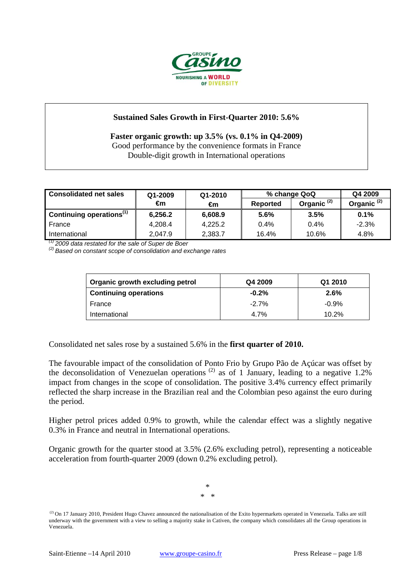

# **Sustained Sales Growth in First-Quarter 2010: 5.6%**

**Faster organic growth: up 3.5% (vs. 0.1% in Q4-2009)**  Good performance by the convenience formats in France Double-digit growth in International operations

| <b>Consolidated net sales</b>        | Q1-2009 | Q1-2010 | % change QoQ    |                        | Q4 2009                |
|--------------------------------------|---------|---------|-----------------|------------------------|------------------------|
|                                      | €m      | €m      | <b>Reported</b> | Organic <sup>(2)</sup> | Organic <sup>(2)</sup> |
| Continuing operations <sup>(1)</sup> | 6,256.2 | 6,608.9 | 5.6%            | 3.5%                   | 0.1%                   |
| France                               | 4.208.4 | 4,225.2 | 0.4%            | $0.4\%$                | $-2.3%$                |
| International                        | 2,047.9 | 2,383.7 | 16.4%           | 10.6%                  | 4.8%                   |

*(1) 2009 data restated for the sale of Super de Boer (2) Based on constant scope of consolidation and exchange rates* 

| <b>Organic growth excluding petrol</b> | Q4 2009 | Q1 2010 |  |
|----------------------------------------|---------|---------|--|
| <b>Continuing operations</b>           | $-0.2%$ | 2.6%    |  |
| France                                 | $-2.7%$ | $-0.9%$ |  |
| International                          | 4.7%    | 10.2%   |  |

Consolidated net sales rose by a sustained 5.6% in the **first quarter of 2010.**

The favourable impact of the consolidation of Ponto Frio by Grupo Pão de Açúcar was offset by the deconsolidation of Venezuelan operations  $^{(2)}$  as of 1 January, leading to a negative 1.2% impact from changes in the scope of consolidation. The positive 3.4% currency effect primarily reflected the sharp increase in the Brazilian real and the Colombian peso against the euro during the period.

Higher petrol prices added 0.9% to growth, while the calendar effect was a slightly negative 0.3% in France and neutral in International operations.

Organic growth for the quarter stood at 3.5% (2.6% excluding petrol), representing a noticeable acceleration from fourth-quarter 2009 (down 0.2% excluding petrol).

> \* \* \*

<sup>&</sup>lt;sup>(2)</sup> On 17 January 2010, President Hugo Chavez announced the nationalisation of the Exito hypermarkets operated in Venezuela. Talks are still underway with the government with a view to selling a majority stake in Cativen, the company which consolidates all the Group operations in Venezuela.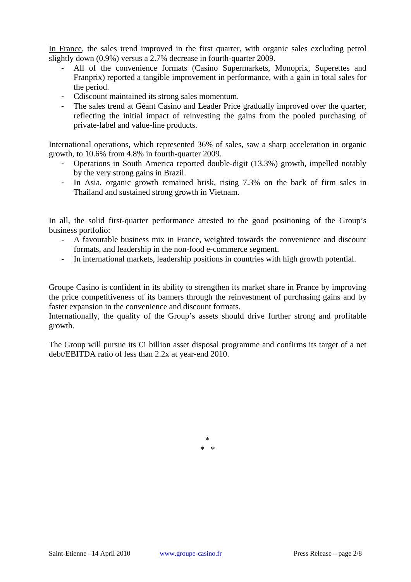In France, the sales trend improved in the first quarter, with organic sales excluding petrol slightly down (0.9%) versus a 2.7% decrease in fourth-quarter 2009.

- All of the convenience formats (Casino Supermarkets, Monoprix, Superettes and Franprix) reported a tangible improvement in performance, with a gain in total sales for the period.
- Cdiscount maintained its strong sales momentum.
- The sales trend at Géant Casino and Leader Price gradually improved over the quarter, reflecting the initial impact of reinvesting the gains from the pooled purchasing of private-label and value-line products.

International operations, which represented 36% of sales, saw a sharp acceleration in organic growth, to 10.6% from 4.8% in fourth-quarter 2009.

- Operations in South America reported double-digit (13.3%) growth, impelled notably by the very strong gains in Brazil.
- In Asia, organic growth remained brisk, rising 7.3% on the back of firm sales in Thailand and sustained strong growth in Vietnam.

In all, the solid first-quarter performance attested to the good positioning of the Group's business portfolio:

- A favourable business mix in France, weighted towards the convenience and discount formats, and leadership in the non-food e-commerce segment.
- In international markets, leadership positions in countries with high growth potential.

Groupe Casino is confident in its ability to strengthen its market share in France by improving the price competitiveness of its banners through the reinvestment of purchasing gains and by faster expansion in the convenience and discount formats.

Internationally, the quality of the Group's assets should drive further strong and profitable growth.

The Group will pursue its **€** billion asset disposal programme and confirms its target of a net debt/EBITDA ratio of less than 2.2x at year-end 2010.

> \* \* \*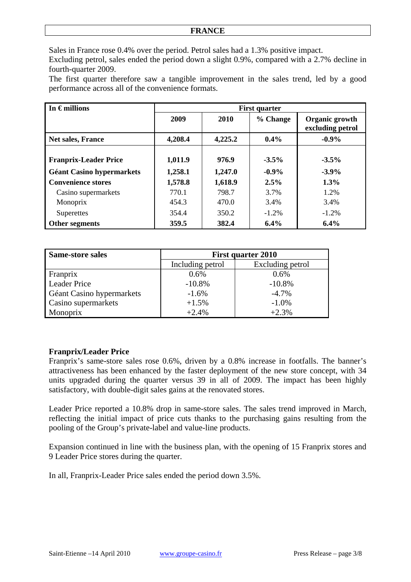Sales in France rose 0.4% over the period. Petrol sales had a 1.3% positive impact.

Excluding petrol, sales ended the period down a slight 0.9%, compared with a 2.7% decline in fourth-quarter 2009.

The first quarter therefore saw a tangible improvement in the sales trend, led by a good performance across all of the convenience formats.

| In $\epsilon$ millions           | <b>First quarter</b> |         |          |                                    |
|----------------------------------|----------------------|---------|----------|------------------------------------|
|                                  | 2009                 | 2010    | % Change | Organic growth<br>excluding petrol |
| Net sales, France                | 4,208.4              | 4,225.2 | $0.4\%$  | $-0.9\%$                           |
|                                  |                      |         |          |                                    |
| <b>Franprix-Leader Price</b>     | 1,011.9              | 976.9   | $-3.5\%$ | $-3.5\%$                           |
| <b>Géant Casino hypermarkets</b> | 1,258.1              | 1,247.0 | $-0.9\%$ | $-3.9\%$                           |
| <b>Convenience stores</b>        | 1,578.8              | 1,618.9 | $2.5\%$  | $1.3\%$                            |
| Casino supermarkets              | 770.1                | 798.7   | 3.7%     | 1.2%                               |
| Monoprix                         | 454.3                | 470.0   | 3.4%     | 3.4%                               |
| Superettes                       | 354.4                | 350.2   | $-1.2%$  | $-1.2%$                            |
| Other segments                   | 359.5                | 382.4   | $6.4\%$  | 6.4%                               |

| <b>Same-store sales</b>   | <b>First quarter 2010</b> |                  |  |
|---------------------------|---------------------------|------------------|--|
|                           | Including petrol          | Excluding petrol |  |
| Franprix                  | 0.6%                      | $0.6\%$          |  |
| <b>Leader Price</b>       | $-10.8%$                  | $-10.8%$         |  |
| Géant Casino hypermarkets | $-1.6%$                   | $-4.7\%$         |  |
| Casino supermarkets       | $+1.5%$                   | $-1.0\%$         |  |
| Monoprix                  | $+2.4%$                   | $+2.3%$          |  |

# **Franprix/Leader Price**

Franprix's same-store sales rose 0.6%, driven by a 0.8% increase in footfalls. The banner's attractiveness has been enhanced by the faster deployment of the new store concept, with 34 units upgraded during the quarter versus 39 in all of 2009. The impact has been highly satisfactory, with double-digit sales gains at the renovated stores.

Leader Price reported a 10.8% drop in same-store sales. The sales trend improved in March, reflecting the initial impact of price cuts thanks to the purchasing gains resulting from the pooling of the Group's private-label and value-line products.

Expansion continued in line with the business plan, with the opening of 15 Franprix stores and 9 Leader Price stores during the quarter.

In all, Franprix-Leader Price sales ended the period down 3.5%.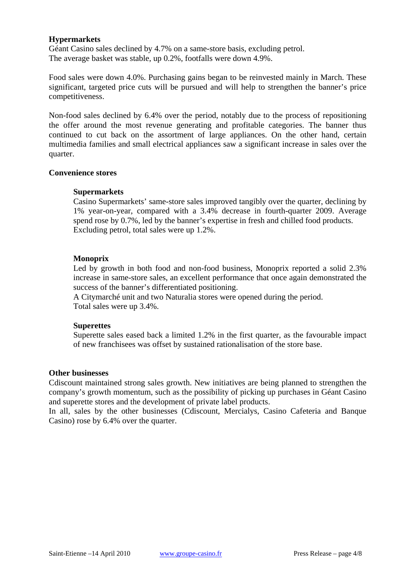## **Hypermarkets**

Géant Casino sales declined by 4.7% on a same-store basis, excluding petrol. The average basket was stable, up 0.2%, footfalls were down 4.9%.

Food sales were down 4.0%. Purchasing gains began to be reinvested mainly in March. These significant, targeted price cuts will be pursued and will help to strengthen the banner's price competitiveness.

Non-food sales declined by 6.4% over the period, notably due to the process of repositioning the offer around the most revenue generating and profitable categories. The banner thus continued to cut back on the assortment of large appliances. On the other hand, certain multimedia families and small electrical appliances saw a significant increase in sales over the quarter.

## **Convenience stores**

#### **Supermarkets**

Casino Supermarkets' same-store sales improved tangibly over the quarter, declining by 1% year-on-year, compared with a 3.4% decrease in fourth-quarter 2009. Average spend rose by 0.7%, led by the banner's expertise in fresh and chilled food products. Excluding petrol, total sales were up 1.2%.

## **Monoprix**

Led by growth in both food and non-food business, Monoprix reported a solid 2.3% increase in same-store sales, an excellent performance that once again demonstrated the success of the banner's differentiated positioning.

A Citymarché unit and two Naturalia stores were opened during the period. Total sales were up 3.4%.

## **Superettes**

Superette sales eased back a limited 1.2% in the first quarter, as the favourable impact of new franchisees was offset by sustained rationalisation of the store base.

#### **Other businesses**

Cdiscount maintained strong sales growth. New initiatives are being planned to strengthen the company's growth momentum, such as the possibility of picking up purchases in Géant Casino and superette stores and the development of private label products.

In all, sales by the other businesses (Cdiscount, Mercialys, Casino Cafeteria and Banque Casino) rose by 6.4% over the quarter.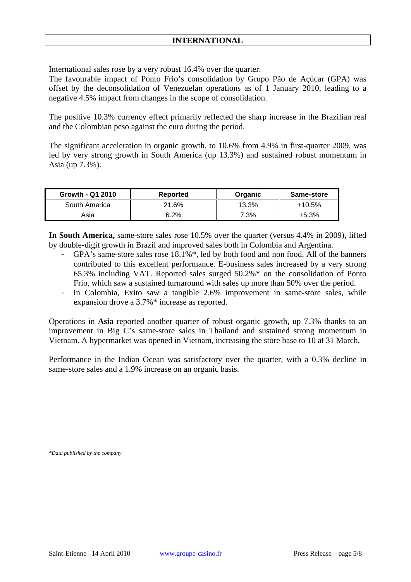International sales rose by a very robust 16.4% over the quarter.

The favourable impact of Ponto Frio's consolidation by Grupo Pão de Açúcar (GPA) was offset by the deconsolidation of Venezuelan operations as of 1 January 2010, leading to a negative 4.5% impact from changes in the scope of consolidation.

The positive 10.3% currency effect primarily reflected the sharp increase in the Brazilian real and the Colombian peso against the euro during the period.

The significant acceleration in organic growth, to 10.6% from 4.9% in first-quarter 2009, was led by very strong growth in South America (up 13.3%) and sustained robust momentum in Asia (up 7.3%).

| Growth - Q1 2010 | <b>Reported</b> | Organic | Same-store |
|------------------|-----------------|---------|------------|
| South America    | 21.6%           | 13.3%   | $+10.5\%$  |
| Asia             | 6.2%            | 7.3%    | $+5.3%$    |

**In South America,** same-store sales rose 10.5% over the quarter (versus 4.4% in 2009), lifted by double-digit growth in Brazil and improved sales both in Colombia and Argentina.

- GPA's same-store sales rose 18.1%\*, led by both food and non food. All of the banners contributed to this excellent performance. E-business sales increased by a very strong 65.3% including VAT. Reported sales surged 50.2%\* on the consolidation of Ponto Frio, which saw a sustained turnaround with sales up more than 50% over the period.
- In Colombia, Exito saw a tangible 2.6% improvement in same-store sales, while expansion drove a 3.7%\* increase as reported.

Operations in **Asia** reported another quarter of robust organic growth, up 7.3% thanks to an improvement in Big C's same-store sales in Thailand and sustained strong momentum in Vietnam. A hypermarket was opened in Vietnam, increasing the store base to 10 at 31 March.

Performance in the Indian Ocean was satisfactory over the quarter, with a 0.3% decline in same-store sales and a 1.9% increase on an organic basis.

*\*Data published by the company*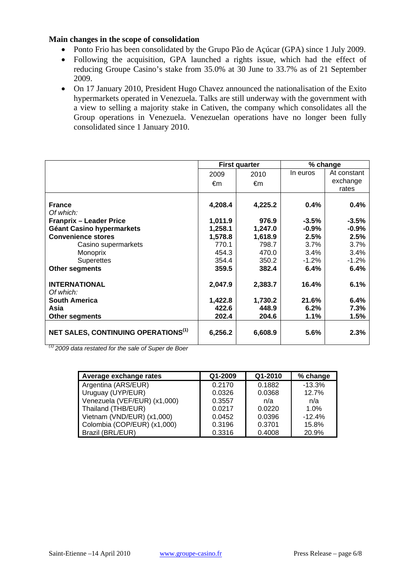### **Main changes in the scope of consolidation**

- Ponto Frio has been consolidated by the Grupo Pão de Açúcar (GPA) since 1 July 2009.
- Following the acquisition, GPA launched a rights issue, which had the effect of reducing Groupe Casino's stake from 35.0% at 30 June to 33.7% as of 21 September 2009.
- On 17 January 2010, President Hugo Chavez announced the nationalisation of the Exito hypermarkets operated in Venezuela. Talks are still underway with the government with a view to selling a majority stake in Cativen, the company which consolidates all the Group operations in Venezuela. Venezuelan operations have no longer been fully consolidated since 1 January 2010.

|                                                        | <b>First quarter</b> |         | % change |             |
|--------------------------------------------------------|----------------------|---------|----------|-------------|
|                                                        | 2009                 | 2010    | In euros | At constant |
|                                                        | €m                   | €m      |          | exchange    |
|                                                        |                      |         |          | rates       |
|                                                        |                      |         |          |             |
| <b>France</b>                                          | 4,208.4              | 4,225.2 | 0.4%     | 0.4%        |
| Of which:                                              |                      |         |          |             |
| <b>Franprix - Leader Price</b>                         | 1,011.9              | 976.9   | $-3.5\%$ | $-3.5%$     |
| Géant Casino hypermarkets                              | 1,258.1              | 1,247.0 | $-0.9%$  | $-0.9%$     |
| <b>Convenience stores</b>                              | 1,578.8              | 1,618.9 | 2.5%     | 2.5%        |
| Casino supermarkets                                    | 770.1                | 798.7   | $3.7\%$  | 3.7%        |
| Monoprix                                               | 454.3                | 470.0   | 3.4%     | 3.4%        |
| <b>Superettes</b>                                      | 354.4                | 350.2   | $-1.2\%$ | $-1.2%$     |
| <b>Other segments</b>                                  | 359.5                | 382.4   | 6.4%     | 6.4%        |
| <b>INTERNATIONAL</b>                                   | 2,047.9              | 2,383.7 | 16.4%    | 6.1%        |
| Of which:                                              |                      |         |          |             |
| <b>South America</b>                                   | 1,422.8              | 1,730.2 | 21.6%    | 6.4%        |
| Asia                                                   | 422.6                | 448.9   | 6.2%     | 7.3%        |
| <b>Other segments</b>                                  | 202.4                | 204.6   | 1.1%     | 1.5%        |
| <b>NET SALES, CONTINUING OPERATIONS</b> <sup>(1)</sup> | 6,256.2              | 6,608.9 | 5.6%     | 2.3%        |
|                                                        |                      |         |          |             |

*(1) 2009 data restated for the sale of Super de Boer* 

| Average exchange rates       | Q1-2009 | Q1-2010 | % change |
|------------------------------|---------|---------|----------|
| Argentina (ARS/EUR)          | 0.2170  | 0.1882  | $-13.3%$ |
| Uruguay (UYP/EUR)            | 0.0326  | 0.0368  | 12.7%    |
| Venezuela (VEF/EUR) (x1,000) | 0.3557  | n/a     | n/a      |
| Thailand (THB/EUR)           | 0.0217  | 0.0220  | 1.0%     |
| Vietnam (VND/EUR) (x1,000)   | 0.0452  | 0.0396  | $-12.4%$ |
| Colombia (COP/EUR) (x1,000)  | 0.3196  | 0.3701  | 15.8%    |
| Brazil (BRL/EUR)             | 0.3316  | 0.4008  | 20.9%    |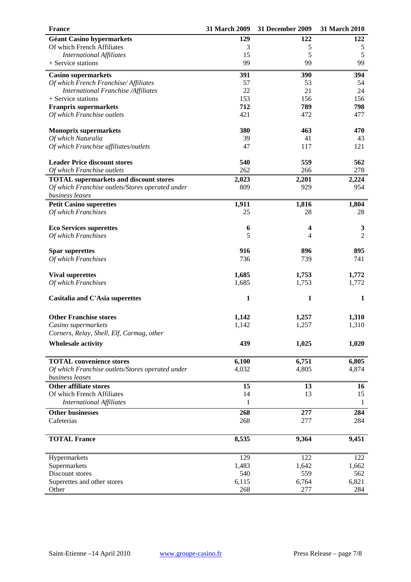| <b>France</b>                                                       | 31 March 2009 | 31 December 2009 | 31 March 2010  |
|---------------------------------------------------------------------|---------------|------------------|----------------|
| <b>Géant Casino hypermarkets</b>                                    | 129           | 122              | 122            |
| Of which French Affiliates                                          | 3             | 5                | 5              |
| <b>International Affiliates</b>                                     | 15            | 5                | 5              |
| + Service stations                                                  | 99            | 99               | 99             |
| <b>Casino supermarkets</b>                                          | 391           | 390              | 394            |
| Of which French Franchise/ Affiliates                               | 57            | 53               | 54             |
| International Franchise /Affiliates                                 | 22            | 21               | 24             |
| + Service stations                                                  | 153           | 156              | 156            |
| <b>Franprix supermarkets</b>                                        | 712           | 789              | 798            |
| Of which Franchise outlets                                          | 421           | 472              | 477            |
| <b>Monoprix supermarkets</b>                                        | 380           | 463              | 470            |
| Of which Naturalia                                                  | 39            | 41               | 43             |
| Of which Franchise affiliates/outlets                               | 47            | 117              | 121            |
| <b>Leader Price discount stores</b>                                 | 540           | 559              | 562            |
| Of which Franchise outlets                                          | 262           | 266              | 278            |
| <b>TOTAL</b> supermarkets and discount stores                       | 2,023         | 2,201            | 2,224          |
| Of which Franchise outlets/Stores operated under<br>business leases | 809           | 929              | 954            |
| <b>Petit Casino superettes</b>                                      | 1,911         | 1,816            | 1,804          |
| Of which Franchises                                                 | 25            | 28               | 28             |
| <b>Eco Services superettes</b>                                      | 6             | 4                | $\mathbf{3}$   |
| Of which Franchises                                                 | 5             | 4                | $\overline{2}$ |
|                                                                     |               |                  |                |
| <b>Spar superettes</b>                                              | 916           | 896              | 895            |
| Of which Franchises                                                 | 736           | 739              | 741            |
|                                                                     |               |                  |                |
| <b>Vival superettes</b>                                             | 1,685         | 1,753            | 1,772          |
| Of which Franchises                                                 | 1,685         | 1,753            | 1,772          |
| Casitalia and C'Asia superettes                                     | $\mathbf{1}$  | $\mathbf{1}$     | $\mathbf{1}$   |
| <b>Other Franchise stores</b>                                       | 1,142         | 1,257            | 1,310          |
| Casino supermarkets                                                 | 1,142         | 1,257            | 1,310          |
| Corners, Relay, Shell, Elf, Carmag, other                           |               |                  |                |
| <b>Wholesale activity</b>                                           | 439           | 1,025            | 1,020          |
| <b>TOTAL</b> convenience stores                                     | 6,100         | 6,751            | 6,805          |
| Of which Franchise outlets/Stores operated under                    | 4,032         | 4,805            | 4,874          |
| business leases                                                     |               |                  |                |
| <b>Other affiliate stores</b>                                       | 15            | 13               | 16             |
| Of which French Affiliates                                          | 14            | 13               | 15             |
| <b>International Affiliates</b>                                     | 1             |                  | 1              |
| <b>Other businesses</b>                                             | 268           | 277              | 284            |
| Cafeterias                                                          | 268           | 277              | 284            |
| <b>TOTAL France</b>                                                 | 8,535         | 9,364            | 9,451          |
| Hypermarkets                                                        | 129           | 122              | 122            |
| Supermarkets                                                        | 1,483         | 1,642            | 1,662          |
|                                                                     |               |                  |                |
| Discount stores                                                     | 540           | 559              | 562            |
| Superettes and other stores                                         | 6,115         | 6,764            | 6,821          |
| Other                                                               | 268           | 277              | 284            |